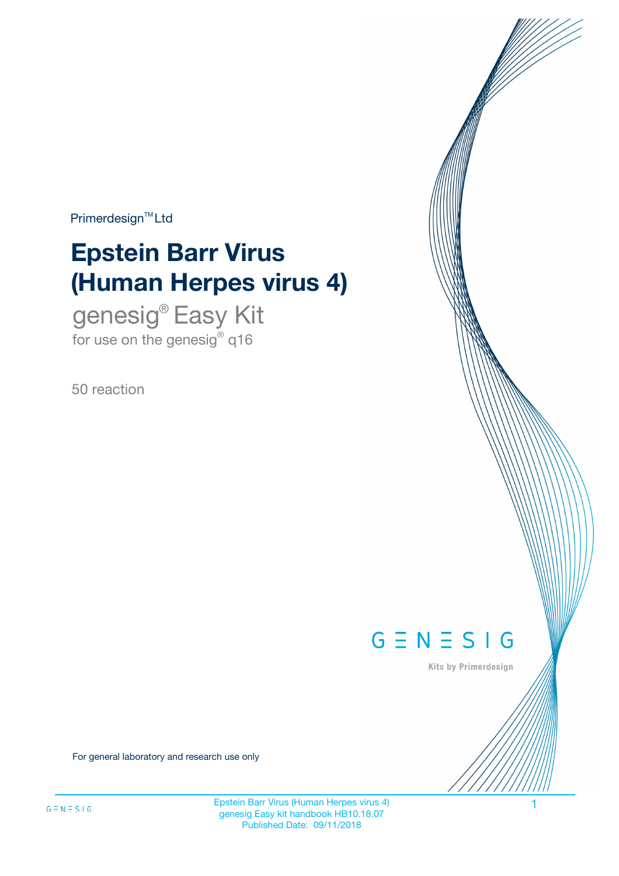$Primerdesign^{\text{TM}}Ltd$ 

# **Epstein Barr Virus (Human Herpes virus 4)**

genesig® Easy Kit for use on the genesig $^{\circ}$  q16

50 reaction



Kits by Primerdesign

For general laboratory and research use only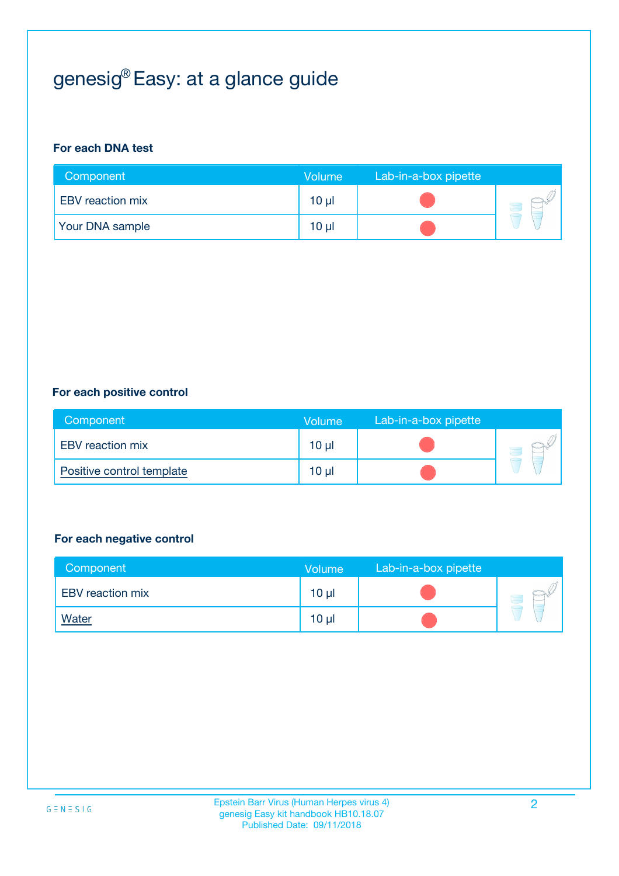# genesig® Easy: at a glance guide

#### **For each DNA test**

| Component               | <b>Volume</b>   | Lab-in-a-box pipette |  |
|-------------------------|-----------------|----------------------|--|
| <b>EBV</b> reaction mix | 10 µl           |                      |  |
| <b>Your DNA sample</b>  | 10 <sub>µ</sub> |                      |  |

#### **For each positive control**

| Component                 | <b>Volume</b> | Lab-in-a-box pipette |  |
|---------------------------|---------------|----------------------|--|
| <b>EBV</b> reaction mix   | $10 \mu$      |                      |  |
| Positive control template | $10 \mu$      |                      |  |

#### **For each negative control**

| Component               | <b>Volume</b>   | Lab-in-a-box pipette |  |
|-------------------------|-----------------|----------------------|--|
| <b>EBV</b> reaction mix | 10 <sub>µ</sub> |                      |  |
| <u>Water</u>            | 10 <sub>µ</sub> |                      |  |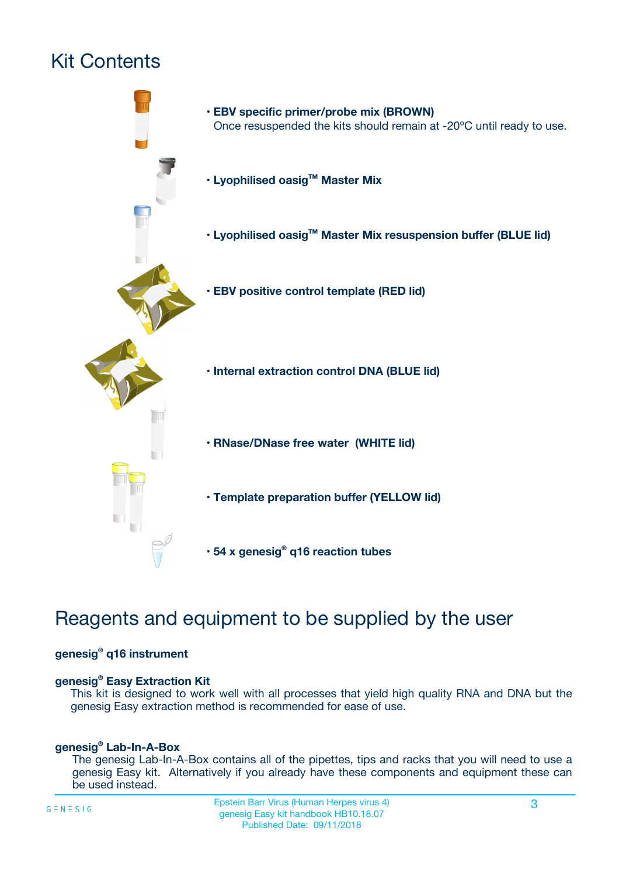# Kit Contents



## Reagents and equipment to be supplied by the user

#### **genesig® q16 instrument**

#### **genesig® Easy Extraction Kit**

This kit is designed to work well with all processes that yield high quality RNA and DNA but the genesig Easy extraction method is recommended for ease of use.

#### **genesig® Lab-In-A-Box**

The genesig Lab-In-A-Box contains all of the pipettes, tips and racks that you will need to use a genesig Easy kit. Alternatively if you already have these components and equipment these can be used instead.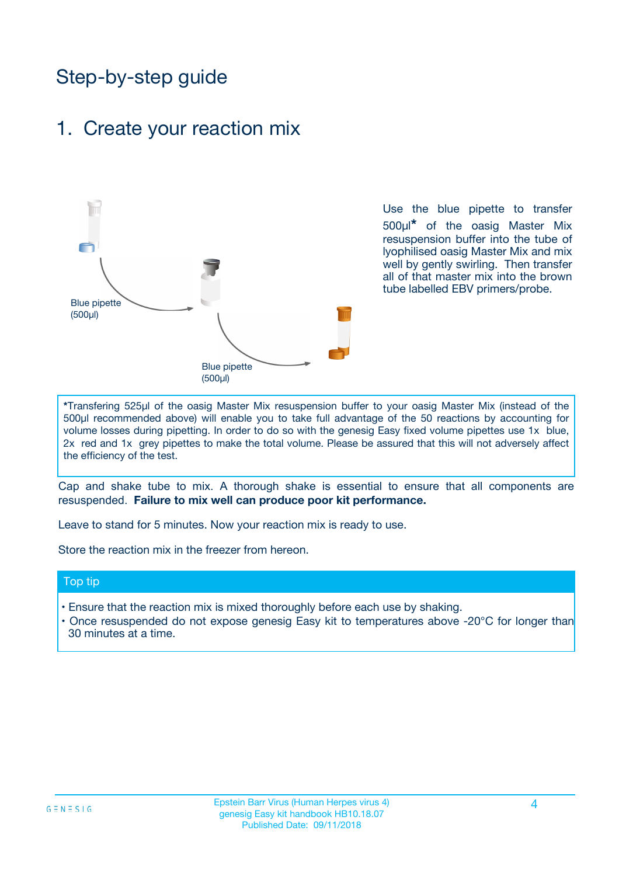## Step-by-step guide

### 1. Create your reaction mix



Use the blue pipette to transfer 500µl**\*** of the oasig Master Mix resuspension buffer into the tube of lyophilised oasig Master Mix and mix well by gently swirling. Then transfer all of that master mix into the brown tube labelled EBV primers/probe.

**\***Transfering 525µl of the oasig Master Mix resuspension buffer to your oasig Master Mix (instead of the 500µl recommended above) will enable you to take full advantage of the 50 reactions by accounting for volume losses during pipetting. In order to do so with the genesig Easy fixed volume pipettes use 1x blue, 2x red and 1x grey pipettes to make the total volume. Please be assured that this will not adversely affect the efficiency of the test.

Cap and shake tube to mix. A thorough shake is essential to ensure that all components are resuspended. **Failure to mix well can produce poor kit performance.**

Leave to stand for 5 minutes. Now your reaction mix is ready to use.

Store the reaction mix in the freezer from hereon.

#### Top tip

- Ensure that the reaction mix is mixed thoroughly before each use by shaking.
- **•** Once resuspended do not expose genesig Easy kit to temperatures above -20°C for longer than 30 minutes at a time.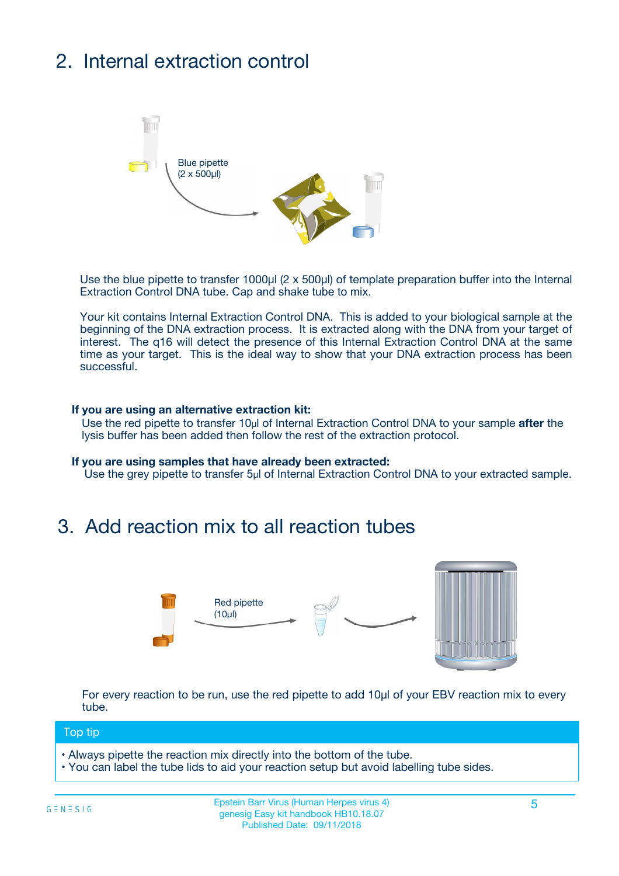# 2. Internal extraction control



Use the blue pipette to transfer 1000µl (2 x 500µl) of template preparation buffer into the Internal Extraction Control DNA tube. Cap and shake tube to mix.

Your kit contains Internal Extraction Control DNA. This is added to your biological sample at the beginning of the DNA extraction process. It is extracted along with the DNA from your target of interest. The q16 will detect the presence of this Internal Extraction Control DNA at the same time as your target. This is the ideal way to show that your DNA extraction process has been successful.

#### **If you are using an alternative extraction kit:**

Use the red pipette to transfer 10µl of Internal Extraction Control DNA to your sample **after** the lysis buffer has been added then follow the rest of the extraction protocol.

#### **If you are using samples that have already been extracted:**

Use the grey pipette to transfer 5µl of Internal Extraction Control DNA to your extracted sample.

### 3. Add reaction mix to all reaction tubes



For every reaction to be run, use the red pipette to add 10µl of your EBV reaction mix to every tube.

#### Top tip

- Always pipette the reaction mix directly into the bottom of the tube.
- You can label the tube lids to aid your reaction setup but avoid labelling tube sides.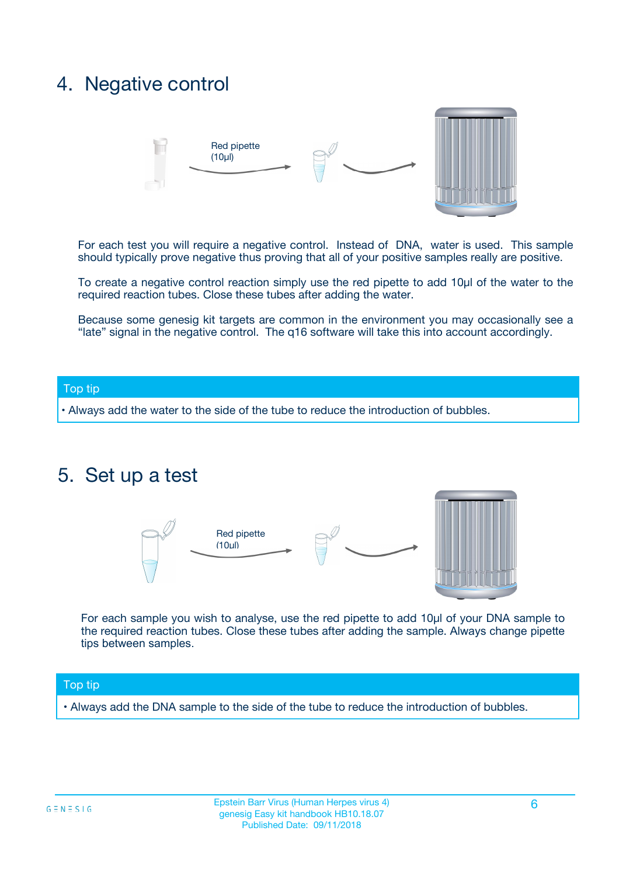## 4. Negative control



For each test you will require a negative control. Instead of DNA, water is used. This sample should typically prove negative thus proving that all of your positive samples really are positive.

To create a negative control reaction simply use the red pipette to add 10µl of the water to the required reaction tubes. Close these tubes after adding the water.

Because some genesig kit targets are common in the environment you may occasionally see a "late" signal in the negative control. The q16 software will take this into account accordingly.

#### Top tip

**•** Always add the water to the side of the tube to reduce the introduction of bubbles.

### 5. Set up a test



For each sample you wish to analyse, use the red pipette to add 10µl of your DNA sample to the required reaction tubes. Close these tubes after adding the sample. Always change pipette tips between samples.

#### Top tip

**•** Always add the DNA sample to the side of the tube to reduce the introduction of bubbles.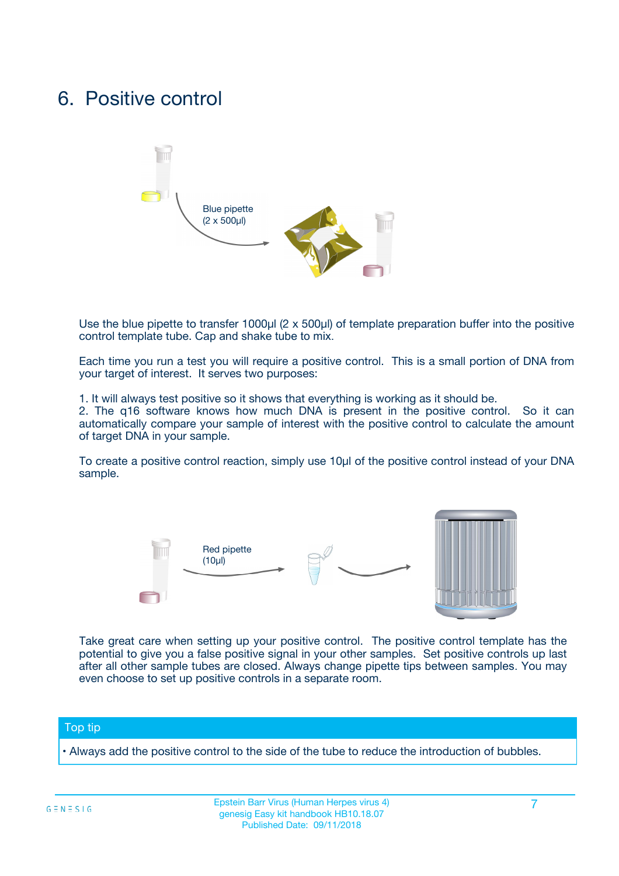## 6. Positive control



Use the blue pipette to transfer 1000µl (2 x 500µl) of template preparation buffer into the positive control template tube. Cap and shake tube to mix.

Each time you run a test you will require a positive control. This is a small portion of DNA from your target of interest. It serves two purposes:

1. It will always test positive so it shows that everything is working as it should be.

2. The q16 software knows how much DNA is present in the positive control. So it can automatically compare your sample of interest with the positive control to calculate the amount of target DNA in your sample.

To create a positive control reaction, simply use 10µl of the positive control instead of your DNA sample.



Take great care when setting up your positive control. The positive control template has the potential to give you a false positive signal in your other samples. Set positive controls up last after all other sample tubes are closed. Always change pipette tips between samples. You may even choose to set up positive controls in a separate room.

#### Top tip

**•** Always add the positive control to the side of the tube to reduce the introduction of bubbles.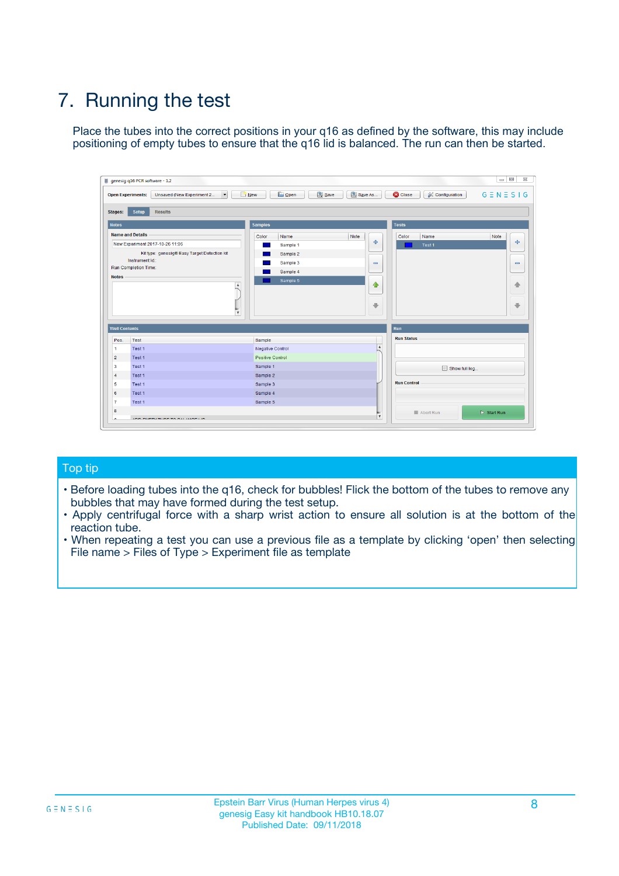# 7. Running the test

Place the tubes into the correct positions in your q16 as defined by the software, this may include positioning of empty tubes to ensure that the q16 lid is balanced. The run can then be started.

| genesig q16 PCR software - 1.2                                               |                                     | $\Box$                                                                                  |
|------------------------------------------------------------------------------|-------------------------------------|-----------------------------------------------------------------------------------------|
| Unsaved (New Experiment 2<br>$\vert \cdot \vert$<br><b>Open Experiments:</b> | <b>D</b> Open<br>Save<br>$\Box$ New | Save As<br><b>C</b> Close<br>$G \equiv N \equiv S \mid G$<br><b>&amp; Configuration</b> |
| Setup<br><b>Results</b><br><b>Stages:</b>                                    |                                     |                                                                                         |
| <b>Notes</b>                                                                 | Samples                             | <b>Tests</b>                                                                            |
| <b>Name and Details</b>                                                      | Color<br>Name                       | Note<br>Color<br>Note<br>Name                                                           |
| New Experiment 2017-10-26 11:06                                              | Sample 1                            | ع<br>علي<br>Test 1                                                                      |
| Kit type: genesig® Easy Target Detection kit                                 | Sample 2                            |                                                                                         |
| Instrument Id.:                                                              | Sample 3                            | $\qquad \qquad \blacksquare$<br>$\qquad \qquad \blacksquare$                            |
| Run Completion Time:                                                         | Sample 4                            |                                                                                         |
| <b>Notes</b>                                                                 | Sample 5<br>A<br>v                  | $\triangle$<br>4<br>$\oplus$<br>₩                                                       |
| <b>Well Contents</b>                                                         |                                     | <b>Run</b>                                                                              |
| Pos.<br>Test                                                                 | Sample                              | <b>Run Status</b>                                                                       |
| Test 1<br>-1                                                                 | <b>Negative Control</b>             | $\blacktriangle$                                                                        |
| $\overline{2}$<br>Test 1                                                     | <b>Positive Control</b>             |                                                                                         |
| $\overline{\mathbf{3}}$<br>Test 1                                            | Sample 1                            | Show full log                                                                           |
| Test 1<br>$\overline{4}$                                                     | Sample 2                            |                                                                                         |
| 5<br>Test 1                                                                  | Sample 3                            | <b>Run Control</b>                                                                      |
| 6<br>Test 1                                                                  | Sample 4                            |                                                                                         |
| $\overline{7}$<br>Test 1                                                     | Sample 5                            |                                                                                         |
| 8                                                                            |                                     | $\triangleright$ Start Run<br>Abort Run                                                 |
| <b>JOD FURTY TUDE TO BUILDED IN</b>                                          |                                     | $\overline{\mathbf{v}}$                                                                 |

#### Top tip

- Before loading tubes into the q16, check for bubbles! Flick the bottom of the tubes to remove any bubbles that may have formed during the test setup.
- Apply centrifugal force with a sharp wrist action to ensure all solution is at the bottom of the reaction tube.
- When repeating a test you can use a previous file as a template by clicking 'open' then selecting File name > Files of Type > Experiment file as template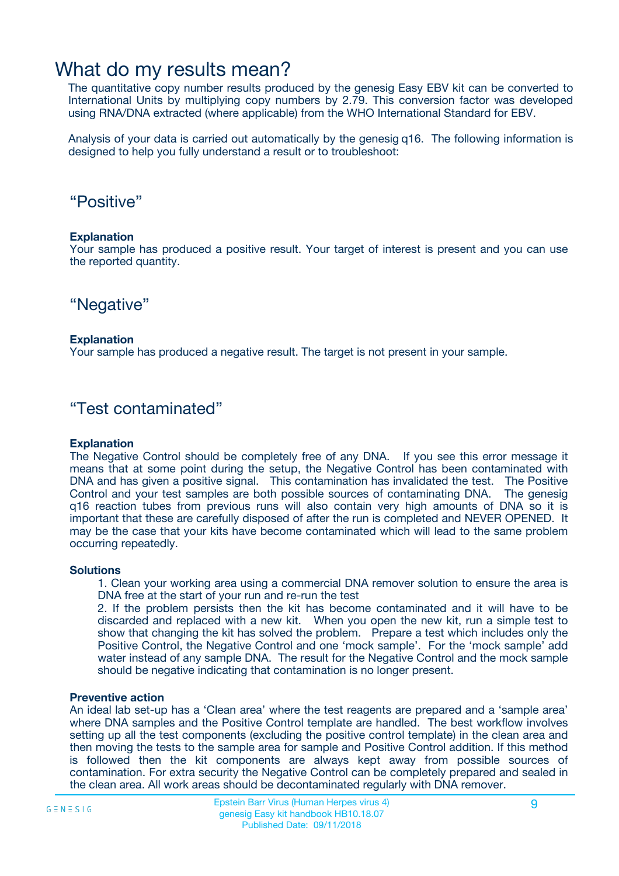## What do my results mean?

The quantitative copy number results produced by the genesig Easy EBV kit can be converted to International Units by multiplying copy numbers by 2.79. This conversion factor was developed using RNA/DNA extracted (where applicable) from the WHO International Standard for EBV.

Analysis of your data is carried out automatically by the genesig q16. The following information is designed to help you fully understand a result or to troubleshoot:

### "Positive"

#### **Explanation**

Your sample has produced a positive result. Your target of interest is present and you can use the reported quantity.

"Negative"

#### **Explanation**

Your sample has produced a negative result. The target is not present in your sample.

### "Test contaminated"

#### **Explanation**

The Negative Control should be completely free of any DNA. If you see this error message it means that at some point during the setup, the Negative Control has been contaminated with DNA and has given a positive signal. This contamination has invalidated the test. The Positive Control and your test samples are both possible sources of contaminating DNA. The genesig q16 reaction tubes from previous runs will also contain very high amounts of DNA so it is important that these are carefully disposed of after the run is completed and NEVER OPENED. It may be the case that your kits have become contaminated which will lead to the same problem occurring repeatedly.

#### **Solutions**

1. Clean your working area using a commercial DNA remover solution to ensure the area is DNA free at the start of your run and re-run the test

2. If the problem persists then the kit has become contaminated and it will have to be discarded and replaced with a new kit. When you open the new kit, run a simple test to show that changing the kit has solved the problem. Prepare a test which includes only the Positive Control, the Negative Control and one 'mock sample'. For the 'mock sample' add water instead of any sample DNA. The result for the Negative Control and the mock sample should be negative indicating that contamination is no longer present.

#### **Preventive action**

An ideal lab set-up has a 'Clean area' where the test reagents are prepared and a 'sample area' where DNA samples and the Positive Control template are handled. The best workflow involves setting up all the test components (excluding the positive control template) in the clean area and then moving the tests to the sample area for sample and Positive Control addition. If this method is followed then the kit components are always kept away from possible sources of contamination. For extra security the Negative Control can be completely prepared and sealed in the clean area. All work areas should be decontaminated regularly with DNA remover.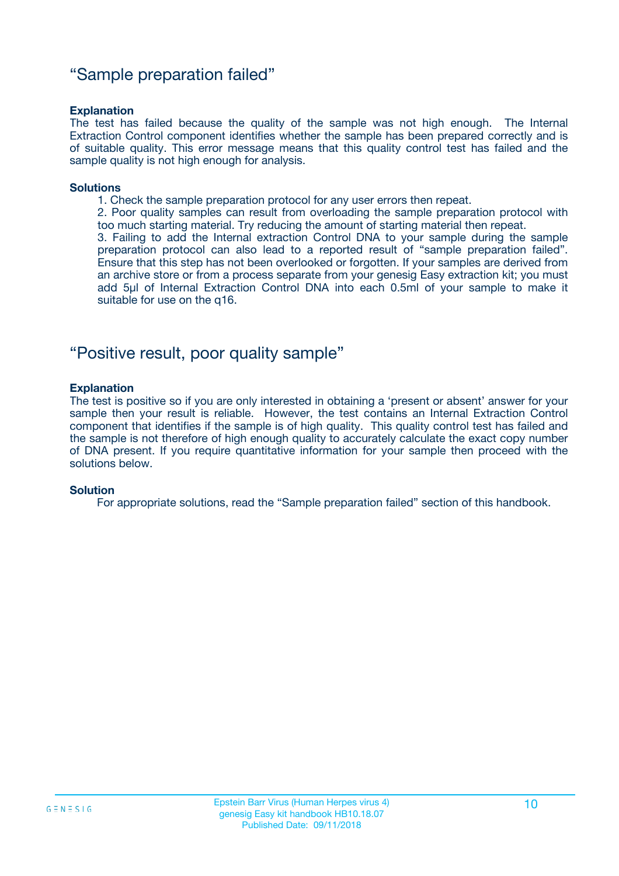### "Sample preparation failed"

#### **Explanation**

The test has failed because the quality of the sample was not high enough. The Internal Extraction Control component identifies whether the sample has been prepared correctly and is of suitable quality. This error message means that this quality control test has failed and the sample quality is not high enough for analysis.

#### **Solutions**

1. Check the sample preparation protocol for any user errors then repeat.

2. Poor quality samples can result from overloading the sample preparation protocol with too much starting material. Try reducing the amount of starting material then repeat.

3. Failing to add the Internal extraction Control DNA to your sample during the sample preparation protocol can also lead to a reported result of "sample preparation failed". Ensure that this step has not been overlooked or forgotten. If your samples are derived from an archive store or from a process separate from your genesig Easy extraction kit; you must add 5µl of Internal Extraction Control DNA into each 0.5ml of your sample to make it suitable for use on the q16.

### "Positive result, poor quality sample"

#### **Explanation**

The test is positive so if you are only interested in obtaining a 'present or absent' answer for your sample then your result is reliable. However, the test contains an Internal Extraction Control component that identifies if the sample is of high quality. This quality control test has failed and the sample is not therefore of high enough quality to accurately calculate the exact copy number of DNA present. If you require quantitative information for your sample then proceed with the solutions below.

#### **Solution**

For appropriate solutions, read the "Sample preparation failed" section of this handbook.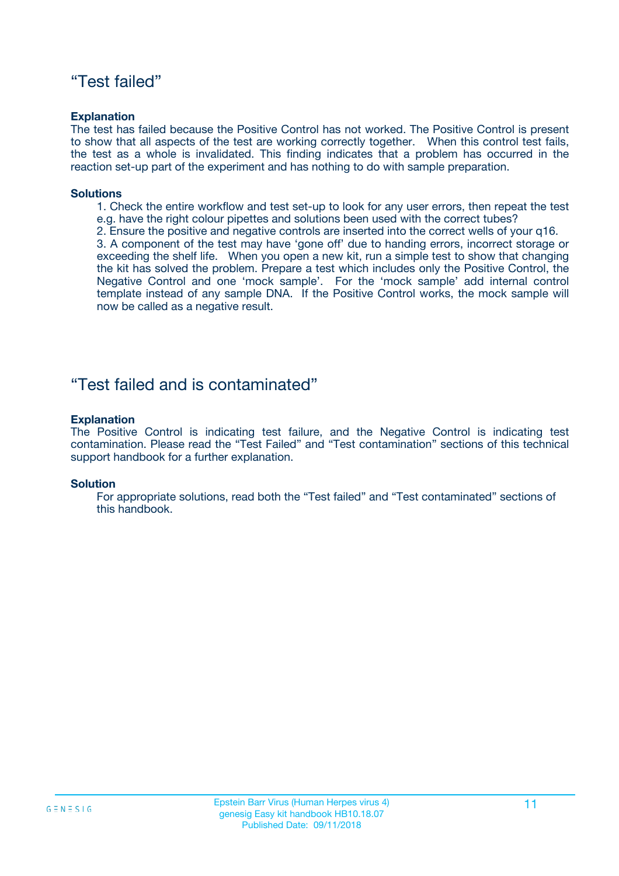### "Test failed"

#### **Explanation**

The test has failed because the Positive Control has not worked. The Positive Control is present to show that all aspects of the test are working correctly together. When this control test fails, the test as a whole is invalidated. This finding indicates that a problem has occurred in the reaction set-up part of the experiment and has nothing to do with sample preparation.

#### **Solutions**

- 1. Check the entire workflow and test set-up to look for any user errors, then repeat the test e.g. have the right colour pipettes and solutions been used with the correct tubes?
- 2. Ensure the positive and negative controls are inserted into the correct wells of your q16.

3. A component of the test may have 'gone off' due to handing errors, incorrect storage or exceeding the shelf life. When you open a new kit, run a simple test to show that changing the kit has solved the problem. Prepare a test which includes only the Positive Control, the Negative Control and one 'mock sample'. For the 'mock sample' add internal control template instead of any sample DNA. If the Positive Control works, the mock sample will now be called as a negative result.

### "Test failed and is contaminated"

#### **Explanation**

The Positive Control is indicating test failure, and the Negative Control is indicating test contamination. Please read the "Test Failed" and "Test contamination" sections of this technical support handbook for a further explanation.

#### **Solution**

For appropriate solutions, read both the "Test failed" and "Test contaminated" sections of this handbook.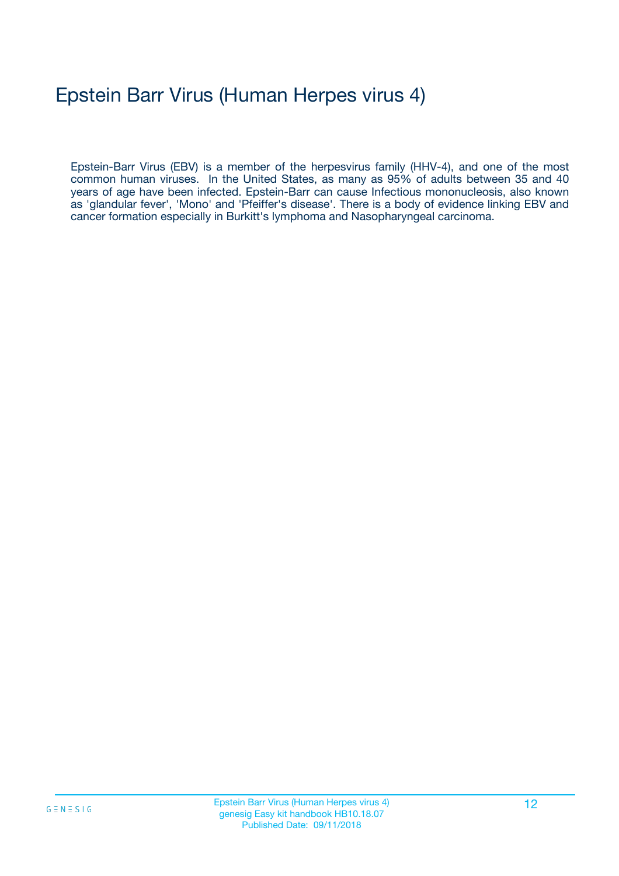# Epstein Barr Virus (Human Herpes virus 4)

Epstein-Barr Virus (EBV) is a member of the herpesvirus family (HHV-4), and one of the most common human viruses. In the United States, as many as 95% of adults between 35 and 40 years of age have been infected. Epstein-Barr can cause Infectious mononucleosis, also known as 'glandular fever', 'Mono' and 'Pfeiffer's disease'. There is a body of evidence linking EBV and cancer formation especially in Burkitt's lymphoma and Nasopharyngeal carcinoma.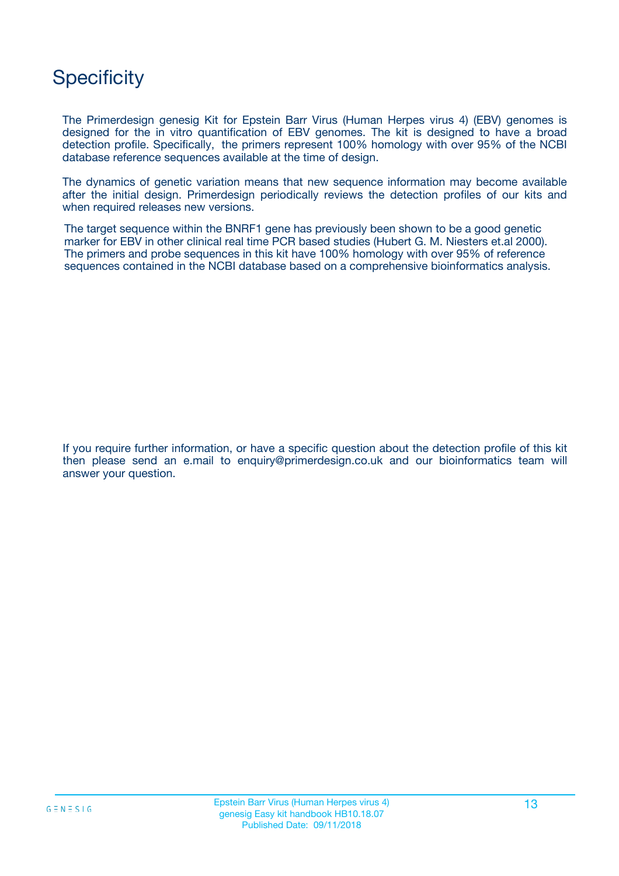## **Specificity**

The Primerdesign genesig Kit for Epstein Barr Virus (Human Herpes virus 4) (EBV) genomes is designed for the in vitro quantification of EBV genomes. The kit is designed to have a broad detection profile. Specifically, the primers represent 100% homology with over 95% of the NCBI database reference sequences available at the time of design.

The dynamics of genetic variation means that new sequence information may become available after the initial design. Primerdesign periodically reviews the detection profiles of our kits and when required releases new versions.

The target sequence within the BNRF1 gene has previously been shown to be a good genetic marker for EBV in other clinical real time PCR based studies (Hubert G. M. Niesters et.al 2000). The primers and probe sequences in this kit have 100% homology with over 95% of reference sequences contained in the NCBI database based on a comprehensive bioinformatics analysis.

If you require further information, or have a specific question about the detection profile of this kit then please send an e.mail to enquiry@primerdesign.co.uk and our bioinformatics team will answer your question.